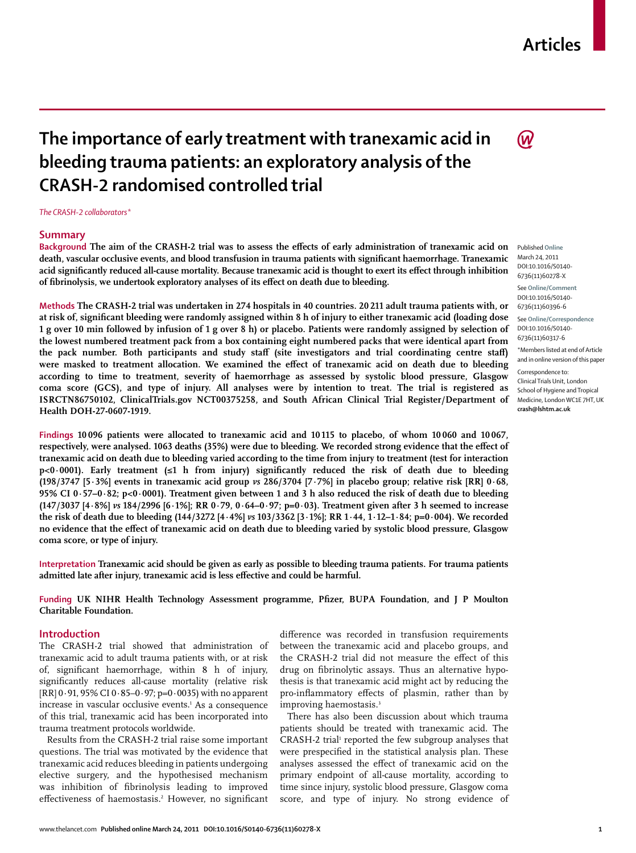## **Articles**

# **The importance of early treatment with tranexamic acid in bleeding trauma patients: an exploratory analysis of the CRASH-2 randomised controlled trial**

*The CRASH-2 collaborators\**

## **Summary**

Background The aim of the CRASH-2 trial was to assess the effects of early administration of tranexamic acid on death, vascular occlusive events, and blood transfusion in trauma patients with significant haemorrhage. Tranexamic acid significantly reduced all-cause mortality. Because tranexamic acid is thought to exert its effect through inhibition of fibrinolysis, we undertook exploratory analyses of its effect on death due to bleeding.

**Methods The CRASH-2 trial was undertaken in 274 hospitals in 40 countries. 20 211 adult trauma patients with, or**  at risk of, significant bleeding were randomly assigned within 8 h of injury to either tranexamic acid (loading dose **1 g over 10 min followed by infusion of 1 g over 8 h) or placebo. Patients were randomly assigned by selection of the lowest numbered treatment pack from a box containing eight numbered packs that were identical apart from the pack number. Both participants and study staff (site investigators and trial coordinating centre staff )**  were masked to treatment allocation. We examined the effect of tranexamic acid on death due to bleeding **according to time to treatment, severity of haemorrhage as assessed by systolic blood pressure, Glasgow coma score (GCS), and type of injury. All analyses were by intention to treat. The trial is registered as ISRCTN86750102, ClinicalTrials.gov NCT00375258, and South African Clinical Trial Register/Department of Health DOH-27-0607-1919.**

**Findings 10 096 patients were allocated to tranexamic acid and 10 115 to placebo, of whom 10 060 and 10 067,**  respectively, were analysed. 1063 deaths (35%) were due to bleeding. We recorded strong evidence that the effect of **tranexamic acid on death due to bleeding varied according to the time from injury to treatment (test for interaction**  p<0.0001). Early treatment (≤1 h from injury) significantly reduced the risk of death due to bleeding **(198/3747 [5·3%] events in tranexamic acid group** *vs* **286/3704 [7·7%] in placebo group; relative risk [RR] 0·68, 95% CI 0·57–0·82; p<0·0001). Treatment given between 1 and 3 h also reduced the risk of death due to bleeding (147/3037 [4·8%]** *vs* **184/2996 [6·1%]; RR 0·79, 0·64–0·97; p=0·03). Treatment given after 3 h seemed to increase the risk of death due to bleeding (144/3272 [4·4%]** *vs* **103/3362 [3·1%]; RR 1·44, 1·12–1·84; p=0·004). We recorded**  no evidence that the effect of tranexamic acid on death due to bleeding varied by systolic blood pressure, Glasgow **coma score, or type of injury.**

**Interpretation Tranexamic acid should be given as early as possible to bleeding trauma patients. For trauma patients**  admitted late after injury, tranexamic acid is less effective and could be harmful.

**Funding UK NIHR Health Technology Assessment programme, Pfizer, BUPA Foundation, and J P Moulton Charitable Foundation.**

## **Introduction**

The CRASH-2 trial showed that administration of tranexamic acid to adult trauma patients with, or at risk of, significant haemorrhage, within 8 h of injury, significantly reduces all-cause mortality (relative risk [RR] 0·91, 95% CI 0·85–0·97; p=0·0035) with no apparent increase in vascular occlusive events.<sup>1</sup> As a consequence of this trial, tranexamic acid has been incorporated into trauma treatment protocols worldwide.

Results from the CRASH-2 trial raise some important questions. The trial was motivated by the evidence that tranexamic acid reduces bleeding in patients undergoing elective surgery, and the hypothesised mechanism was inhibition of fibrinolysis leading to improved effectiveness of haemostasis.<sup>2</sup> However, no significant difference was recorded in transfusion requirements between the tranexamic acid and placebo groups, and the CRASH-2 trial did not measure the effect of this drug on fibrinolytic assays. Thus an alternative hypothesis is that tranexamic acid might act by reducing the pro-inflammatory effects of plasmin, rather than by improving haemostasis.<sup>3</sup>

There has also been discussion about which trauma patients should be treated with tranexamic acid. The CRASH-2 trial<sup>1</sup> reported the few subgroup analyses that were prespecified in the statistical analysis plan. These analyses assessed the effect of tranexamic acid on the primary endpoint of all-cause mortality, according to time since injury, systolic blood pressure, Glasgow coma score, and type of injury. No strong evidence of



(W

See **Online/Comment** DOI:10.1016/S0140- 6736(11)60396-6

See **Online/Correspondence**  DOI:10.1016/S0140- 6736(11)60317-6

\*Members listed at end of Article and in online version of this paper

Correspondence to: Clinical Trials Unit, London School of Hygiene and Tropical Medicine, London WC1E 7HT, UK **crash@lshtm.ac.uk**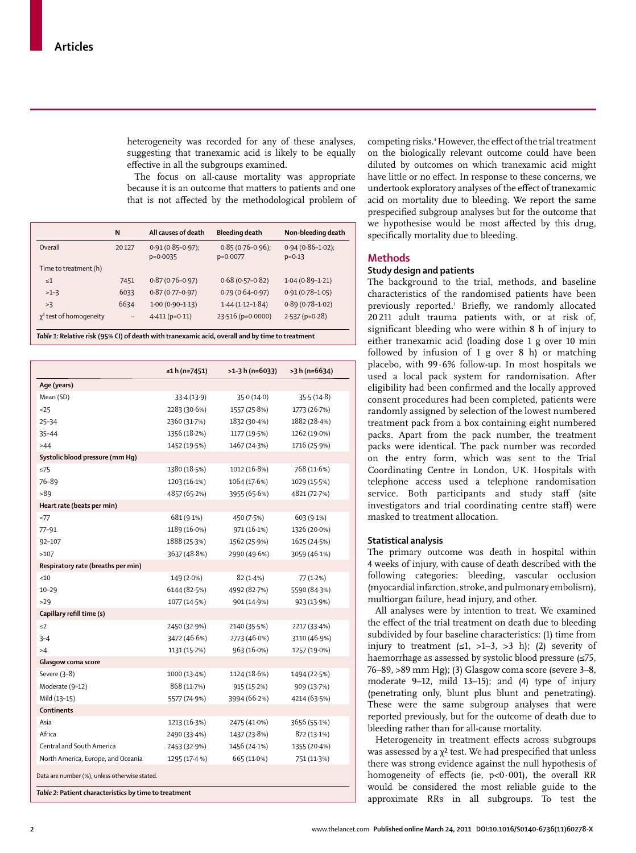heterogeneity was recorded for any of these analyses, suggesting that tranexamic acid is likely to be equally effective in all the subgroups examined.

The focus on all-cause mortality was appropriate because it is an outcome that matters to patients and one that is not affected by the methodological problem of

|                              | N            | All causes of death                | <b>Bleeding death</b>              | Non-bleeding death                  |
|------------------------------|--------------|------------------------------------|------------------------------------|-------------------------------------|
| Overall                      | 20127        | $0.91(0.85 - 0.97);$<br>$p=0.0035$ | $0.85(0.76 - 0.96);$<br>$p=0.0077$ | $0.94(0.86 - 1.02)$ ;<br>$p = 0.13$ |
| Time to treatment (h)        |              |                                    |                                    |                                     |
| <1                           | 7451         | $0.87(0.76 - 0.97)$                | $0.68(0.57-0.82)$                  | $1.04(0.89 - 1.21)$                 |
| $>1-3$                       | 6033         | $0.87(0.77-0.97)$                  | $0.79(0.64 - 0.97)$                | $0.91(0.78 - 1.05)$                 |
| >3                           | 6634         | $1.00(0.90-1.13)$                  | $1.44(1.12 - 1.84)$                | $0.89(0.78 - 1.02)$                 |
| $\chi^2$ test of homogeneity | $\cdot\cdot$ | $4.411(p=0.11)$                    | 23.516 (p=0.0000)                  | $2.537(p=0.28)$                     |

*Table 1:* **Relative risk (95% CI) of death with tranexamic acid, overall and by time to treatment**

|                                                       | $\leq 1 h (n=7451)$ | $>1-3 h (n=6033)$ | $>3 h (n=6634)$ |  |  |
|-------------------------------------------------------|---------------------|-------------------|-----------------|--|--|
| Age (years)                                           |                     |                   |                 |  |  |
| Mean (SD)                                             | 33.4(13.9)          | 35.0(14.0)        | 35.5(14.8)      |  |  |
| $25$                                                  | 2283 (30.6%)        | 1557 (25.8%)      | 1773 (26.7%)    |  |  |
| $25 - 34$                                             | 2360 (31.7%)        | 1832 (30.4%)      | 1882 (28.4%)    |  |  |
| $35 - 44$                                             | 1356 (18.2%)        | 1177 (19.5%)      | 1262 (19.0%)    |  |  |
| >44                                                   | 1452 (19.5%)        | 1467 (24.3%)      | 1716 (25.9%)    |  |  |
| Systolic blood pressure (mm Hq)                       |                     |                   |                 |  |  |
| $\leq 75$                                             | 1380 (18.5%)        | 1012 (16.8%)      | 768 (11.6%)     |  |  |
| 76-89                                                 | 1203 (16.1%)        | 1064 (17.6%)      | 1029 (15.5%)    |  |  |
| >89                                                   | 4857 (65.2%)        | 3955 (65.6%)      | 4821 (72.7%)    |  |  |
| Heart rate (beats per min)                            |                     |                   |                 |  |  |
| <77                                                   | 681 (9.1%)          | 450 (7.5%)        | 603 (9.1%)      |  |  |
| $77 - 91$                                             | 1189 (16.0%)        | 971 (16.1%)       | 1326 (20.0%)    |  |  |
| 92-107                                                | 1888 (25.3%)        | 1562 (25.9%)      | 1625 (24.5%)    |  |  |
| >107                                                  | 3637 (48.8%)        | 2990 (49.6%)      | 3059 (46.1%)    |  |  |
| Respiratory rate (breaths per min)                    |                     |                   |                 |  |  |
| < 10                                                  | 149 (2.0%)          | 82(1.4%)          | 77 (1.2%)       |  |  |
| $10 - 29$                                             | 6144 (82.5%)        | 4992 (82.7%)      | 5590 (84.3%)    |  |  |
| >29                                                   | 1077 (14.5%)        | 901 (14.9%)       | 923 (13.9%)     |  |  |
| Capillary refill time (s)                             |                     |                   |                 |  |  |
| $\leq$ 2                                              | 2450 (32.9%)        | 2140 (35.5%)      | 2217 (33.4%)    |  |  |
| $3 - 4$                                               | 3472 (46.6%)        | 2773 (46.0%)      | 3110 (46.9%)    |  |  |
| >4                                                    | 1131 (15.2%)        | 963 (16.0%)       | 1257 (19.0%)    |  |  |
| Glasgow coma score                                    |                     |                   |                 |  |  |
| Severe (3-8)                                          | 1000 (13.4%)        | 1124 (18.6%)      | 1494 (22.5%)    |  |  |
| Moderate (9-12)                                       | 868 (11.7%)         | 915 (15.2%)       | 909 (13.7%)     |  |  |
| Mild (13-15)                                          | 5577 (74.9%)        | 3994 (66.2%)      | 4214 (63.5%)    |  |  |
| <b>Continents</b>                                     |                     |                   |                 |  |  |
| Asia                                                  | 1213 (16.3%)        | 2475 (41.0%)      | 3656 (55.1%)    |  |  |
| Africa                                                | 2490 (33.4%)        | 1437 (23.8%)      | 872 (13.1%)     |  |  |
| Central and South America                             | 2453 (32.9%)        | 1456 (24.1%)      | 1355 (20-4%)    |  |  |
| North America, Europe, and Oceania                    | 1295 (17.4%)        | 665 (11.0%)       | 751 (11.3%)     |  |  |
| Data are number (%), unless otherwise stated.         |                     |                   |                 |  |  |
| Table 2: Patient characteristics by time to treatment |                     |                   |                 |  |  |

competing risks.<sup>4</sup> However, the effect of the trial treatment on the biologically relevant outcome could have been diluted by outcomes on which tranexamic acid might have little or no effect. In response to these concerns, we undertook exploratory analyses of the effect of tranexamic acid on mortality due to bleeding. We report the same prespecified subgroup analyses but for the outcome that we hypothesise would be most affected by this drug, specifically mortality due to bleeding.

### **Methods**

#### **Study design and patients**

The background to the trial, methods, and baseline characteristics of the randomised patients have been previously reported.<sup>1</sup> Briefly, we randomly allocated 20 211 adult trauma patients with, or at risk of, significant bleeding who were within 8 h of injury to either tranexamic acid (loading dose 1 g over 10 min followed by infusion of 1 g over 8 h) or matching placebo, with 99·6% follow-up. In most hospitals we used a local pack system for randomisation. After eligibility had been confirmed and the locally approved consent procedures had been completed, patients were randomly assigned by selection of the lowest numbered treatment pack from a box containing eight numbered packs. Apart from the pack number, the treatment packs were identical. The pack number was recorded on the entry form, which was sent to the Trial Coordinating Centre in London, UK. Hospitals with telephone access used a telephone randomisation service. Both participants and study staff (site investigators and trial coordinating centre staff) were masked to treatment allocation.

#### **Statistical analysis**

The primary outcome was death in hospital within 4 weeks of injury, with cause of death described with the following categories: bleeding, vascular occlusion (myocardial infarction, stroke, and pulmonary embolism), multiorgan failure, head injury, and other.

All analyses were by intention to treat. We examined the effect of the trial treatment on death due to bleeding subdivided by four baseline characteristics: (1) time from injury to treatment  $(\leq 1, >1-3, >3)$  h); (2) severity of haemorrhage as assessed by systolic blood pressure (≤75, 76–89, >89 mm Hg); (3) Glasgow coma score (severe 3–8, moderate 9–12, mild 13–15); and (4) type of injury (penetrating only, blunt plus blunt and penetrating). These were the same subgroup analyses that were reported previously, but for the outcome of death due to bleeding rather than for all-cause mortality.

Heterogeneity in treatment effects across subgroups was assessed by a  $\chi^2$  test. We had prespecified that unless there was strong evidence against the null hypothesis of homogeneity of effects (ie,  $p<0.001$ ), the overall RR would be considered the most reliable guide to the approximate RRs in all subgroups. To test the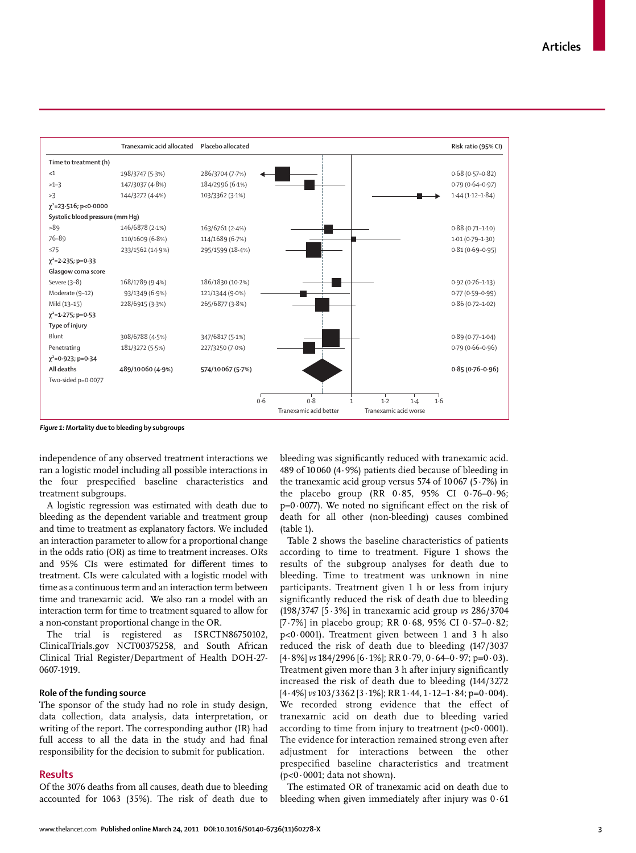

*Figure 1:* **Mortality due to bleeding by subgroups**

independence of any observed treatment interactions we ran a logistic model including all possible interactions in the four prespecified baseline characteristics and treatment subgroups.

A logistic regression was estimated with death due to bleeding as the dependent variable and treatment group and time to treatment as explanatory factors. We included an interaction parameter to allow for a proportional change in the odds ratio (OR) as time to treatment increases. ORs and 95% CIs were estimated for different times to treatment. CIs were calculated with a logistic model with time as a continuous term and an interaction term between time and tranexamic acid. We also ran a model with an interaction term for time to treatment squared to allow for a non-constant proportional change in the OR.

The trial is registered as ISRCTN86750102, ClinicalTrials.gov NCT00375258, and South African Clinical Trial Register/Department of Health DOH-27- 0607-1919.

#### **Role of the funding source**

The sponsor of the study had no role in study design, data collection, data analysis, data interpretation, or writing of the report. The corresponding author (IR) had full access to all the data in the study and had final responsibility for the decision to submit for publication.

### **Results**

Of the 3076 deaths from all causes, death due to bleeding accounted for 1063 (35%). The risk of death due to bleeding was significantly reduced with tranexamic acid. 489 of 10 060 (4·9%) patients died because of bleeding in the tranexamic acid group versus 574 of 10 067 (5·7%) in the placebo group (RR 0·85, 95% CI 0·76–0·96;  $p=0.0077$ ). We noted no significant effect on the risk of death for all other (non-bleeding) causes combined (table 1).

Table 2 shows the baseline characteristics of patients according to time to treatment. Figure 1 shows the results of the subgroup analyses for death due to bleeding. Time to treatment was unknown in nine participants. Treatment given 1 h or less from injury significantly reduced the risk of death due to bleeding (198/3747 [5·3%] in tranexamic acid group *vs* 286/3704 [7·7%] in placebo group; RR 0·68, 95% CI 0·57–0·82;  $p<0.0001$ ). Treatment given between 1 and 3 h also reduced the risk of death due to bleeding (147/3037 [4·8%] *vs* 184/2996 [6·1%]; RR 0·79, 0·64–0·97; p=0·03). Treatment given more than 3 h after injury significantly increased the risk of death due to bleeding (144/3272 [4·4%] *vs* 103/3362 [3·1%]; RR 1·44, 1·12–1·84; p=0·004). We recorded strong evidence that the effect of tranexamic acid on death due to bleeding varied according to time from injury to treatment  $(p<0.0001)$ . The evidence for interaction remained strong even after adjustment for interactions between the other prespecified baseline characteristics and treatment (p<0·0001; data not shown).

The estimated OR of tranexamic acid on death due to bleeding when given immediately after injury was 0·61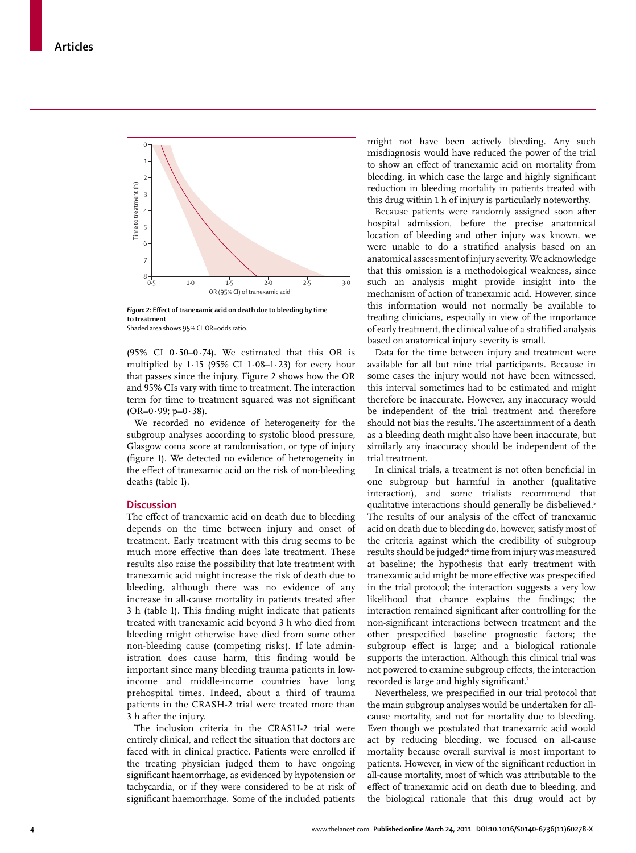

**to treatment** Shaded area shows 95% CI. OR=odds ratio.

(95% CI  $0.50-0.74$ ). We estimated that this OR is multiplied by  $1.15$  (95% CI  $1.08-1.23$ ) for every hour that passes since the injury. Figure 2 shows how the OR and 95% CIs vary with time to treatment. The interaction term for time to treatment squared was not significant  $(OR=0.99; p=0.38)$ .

We recorded no evidence of heterogeneity for the subgroup analyses according to systolic blood pressure, Glasgow coma score at randomisation, or type of injury (figure 1). We detected no evidence of heterogeneity in the effect of tranexamic acid on the risk of non-bleeding deaths (table 1).

### **Discussion**

The effect of tranexamic acid on death due to bleeding depends on the time between injury and onset of treatment. Early treatment with this drug seems to be much more effective than does late treatment. These results also raise the possibility that late treatment with tranexamic acid might increase the risk of death due to bleeding, although there was no evidence of any increase in all-cause mortality in patients treated after 3 h (table 1). This finding might indicate that patients treated with tranexamic acid beyond 3 h who died from bleeding might otherwise have died from some other non-bleeding cause (competing risks). If late administration does cause harm, this finding would be important since many bleeding trauma patients in lowincome and middle-income countries have long prehospital times. Indeed, about a third of trauma patients in the CRASH-2 trial were treated more than 3 h after the injury.

The inclusion criteria in the CRASH-2 trial were entirely clinical, and reflect the situation that doctors are faced with in clinical practice. Patients were enrolled if the treating physician judged them to have ongoing significant haemorrhage, as evidenced by hypotension or tachycardia, or if they were considered to be at risk of significant haemorrhage. Some of the included patients might not have been actively bleeding. Any such misdiagnosis would have reduced the power of the trial to show an effect of tranexamic acid on mortality from bleeding, in which case the large and highly significant reduction in bleeding mortality in patients treated with this drug within 1 h of injury is particularly noteworthy.

Because patients were randomly assigned soon after hospital admission, before the precise anatomical location of bleeding and other injury was known, we were unable to do a stratified analysis based on an anatomical assessment of injury severity. We acknowledge that this omission is a methodological weakness, since such an analysis might provide insight into the mechanism of action of tranexamic acid. However, since this information would not normally be available to treating clinicians, especially in view of the importance of early treatment, the clinical value of a stratified analysis based on anatomical injury severity is small.

Data for the time between injury and treatment were available for all but nine trial participants. Because in some cases the injury would not have been witnessed, this interval sometimes had to be estimated and might therefore be inaccurate. However, any inaccuracy would be independent of the trial treatment and therefore should not bias the results. The ascertainment of a death as a bleeding death might also have been inaccurate, but similarly any inaccuracy should be independent of the trial treatment.

In clinical trials, a treatment is not often beneficial in one subgroup but harmful in another (qualitative interaction), and some trialists recommend that qualitative interactions should generally be disbelieved.<sup>5</sup> The results of our analysis of the effect of tranexamic acid on death due to bleeding do, however, satisfy most of the criteria against which the credibility of subgroup results should be judged:6 time from injury was measured at baseline; the hypothesis that early treatment with tranexamic acid might be more effective was prespecified in the trial protocol; the interaction suggests a very low likelihood that chance explains the findings; the interaction remained significant after controlling for the non-significant interactions between treatment and the other prespecified baseline prognostic factors; the subgroup effect is large; and a biological rationale supports the interaction. Although this clinical trial was not powered to examine subgroup effects, the interaction recorded is large and highly significant.<sup>7</sup>

Nevertheless, we prespecified in our trial protocol that the main subgroup analyses would be undertaken for allcause mortality, and not for mortality due to bleeding. Even though we postulated that tranexamic acid would act by reducing bleeding, we focused on all-cause mortality because overall survival is most important to patients. However, in view of the significant reduction in all-cause mortality, most of which was attributable to the effect of tranexamic acid on death due to bleeding, and the biological rationale that this drug would act by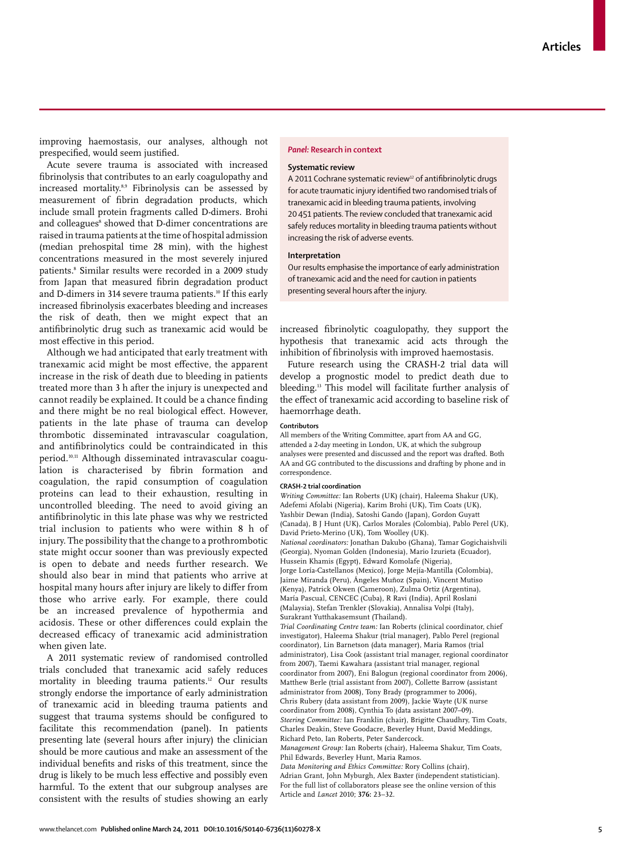improving haemostasis, our analyses, although not prespecified, would seem justified.

Acute severe trauma is associated with increased fibrinolysis that contributes to an early coagulopathy and increased mortality.8,9 Fibrinolysis can be assessed by measurement of fibrin degradation products, which include small protein fragments called D-dimers. Brohi and colleagues $^{\mathrm{s}}$  showed that D-dimer concentrations are raised in trauma patients at the time of hospital admission (median prehospital time 28 min), with the highest concentrations measured in the most severely injured patients.8 Similar results were recorded in a 2009 study from Japan that measured fibrin degradation product and D-dimers in 314 severe trauma patients.<sup>10</sup> If this early increased fibrinolysis exacerbates bleeding and increases the risk of death, then we might expect that an antifibrinolytic drug such as tranexamic acid would be most effective in this period.

Although we had anticipated that early treatment with tranexamic acid might be most effective, the apparent increase in the risk of death due to bleeding in patients treated more than 3 h after the injury is unexpected and cannot readily be explained. It could be a chance finding and there might be no real biological effect. However, patients in the late phase of trauma can develop thrombotic disseminated intravascular coagulation, and antifibrinolytics could be contraindicated in this period.10,11 Although disseminated intravascular coagulation is characterised by fibrin formation and coagulation, the rapid consumption of coagulation proteins can lead to their exhaustion, resulting in uncontrolled bleeding. The need to avoid giving an antifibrinolytic in this late phase was why we restricted trial inclusion to patients who were within 8 h of injury. The possibility that the change to a prothrombotic state might occur sooner than was previously expected is open to debate and needs further research. We should also bear in mind that patients who arrive at hospital many hours after injury are likely to differ from those who arrive early. For example, there could be an increased prevalence of hypothermia and acidosis. These or other differences could explain the decreased efficacy of tranexamic acid administration when given late.

A 2011 systematic review of randomised controlled trials concluded that tranexamic acid safely reduces mortality in bleeding trauma patients.<sup>12</sup> Our results strongly endorse the importance of early administration of tranexamic acid in bleeding trauma patients and suggest that trauma systems should be configured to facilitate this recommendation (panel). In patients presenting late (several hours after injury) the clinician should be more cautious and make an assessment of the individual benefits and risks of this treatment, since the drug is likely to be much less effective and possibly even harmful. To the extent that our subgroup analyses are consistent with the results of studies showing an early

### *Panel:* **Research in context**

#### **Systematic review**

A 2011 Cochrane systematic review<sup>12</sup> of antifibrinolytic drugs for acute traumatic injury identified two randomised trials of tranexamic acid in bleeding trauma patients, involving 20 451 patients. The review concluded that tranexamic acid safely reduces mortality in bleeding trauma patients without increasing the risk of adverse events.

#### **Interpretation**

Our results emphasise the importance of early administration of tranexamic acid and the need for caution in patients presenting several hours after the injury.

increased fibrinolytic coagulopathy, they support the hypothesis that tranexamic acid acts through the inhibition of fibrinolysis with improved haemostasis.

Future research using the CRASH-2 trial data will develop a prognostic model to predict death due to bleeding.13 This model will facilitate further analysis of the effect of tranexamic acid according to baseline risk of haemorrhage death.

#### **Contributors**

All members of the Writing Committee, apart from AA and GG, attended a 2-day meeting in London, UK, at which the subgroup analyses were presented and discussed and the report was drafted. Both AA and GG contributed to the discussions and drafting by phone and in correspondence.

#### **CRASH-2 trial coordination**

*Writing Committee:* Ian Roberts (UK) (chair), Haleema Shakur (UK), Adefemi Afolabi (Nigeria), Karim Brohi (UK), Tim Coats (UK), Yashbir Dewan (India), Satoshi Gando (Japan), Gordon Guyatt (Canada), B J Hunt (UK), Carlos Morales (Colombia), Pablo Perel (UK), David Prieto-Merino (UK), Tom Woolley (UK). *National coordinators:* Jonathan Dakubo (Ghana), Tamar Gogichaishvili (Georgia), Nyoman Golden (Indonesia), Mario Izurieta (Ecuador), Hussein Khamis (Egypt), Edward Komolafe (Nigeria), Jorge Loría-Castellanos (Mexico), Jorge Mejía-Mantilla (Colombia), Jaime Miranda (Peru), Ángeles Muñoz (Spain), Vincent Mutiso (Kenya), Patrick Okwen (Cameroon), Zulma Ortiz (Argentina), María Pascual, CENCEC (Cuba), R Ravi (India), April Roslani (Malaysia), Stefan Trenkler (Slovakia), Annalisa Volpi (Italy), Surakrant Yutthakasemsunt (Thailand). *Trial Coordinating Centre team:* Ian Roberts (clinical coordinator, chief investigator), Haleema Shakur (trial manager), Pablo Perel (regional coordinator), Lin Barnetson (data manager), Maria Ramos (trial administrator), Lisa Cook (assistant trial manager, regional coordinator from 2007), Taemi Kawahara (assistant trial manager, regional coordinator from 2007), Eni Balogun (regional coordinator from 2006), Matthew Berle (trial assistant from 2007), Collette Barrow (assistant administrator from 2008), Tony Brady (programmer to 2006),

Chris Rubery (data assistant from 2009), Jackie Wayte (UK nurse coordinator from 2008), Cynthia To (data assistant 2007–09). *Steering Committee:* Ian Franklin (chair), Brigitte Chaudhry, Tim Coats, Charles Deakin, Steve Goodacre, Beverley Hunt, David Meddings, Richard Peto, Ian Roberts, Peter Sandercock. *Management Group:* Ian Roberts (chair), Haleema Shakur, Tim Coats,

Phil Edwards, Beverley Hunt, Maria Ramos. *Data Monitoring and Ethics Committee:* Rory Collins (chair), Adrian Grant, John Myburgh, Alex Baxter (independent statistician). For the full list of collaborators please see the online version of this

Article and *Lancet* 2010; **376:** 23–32.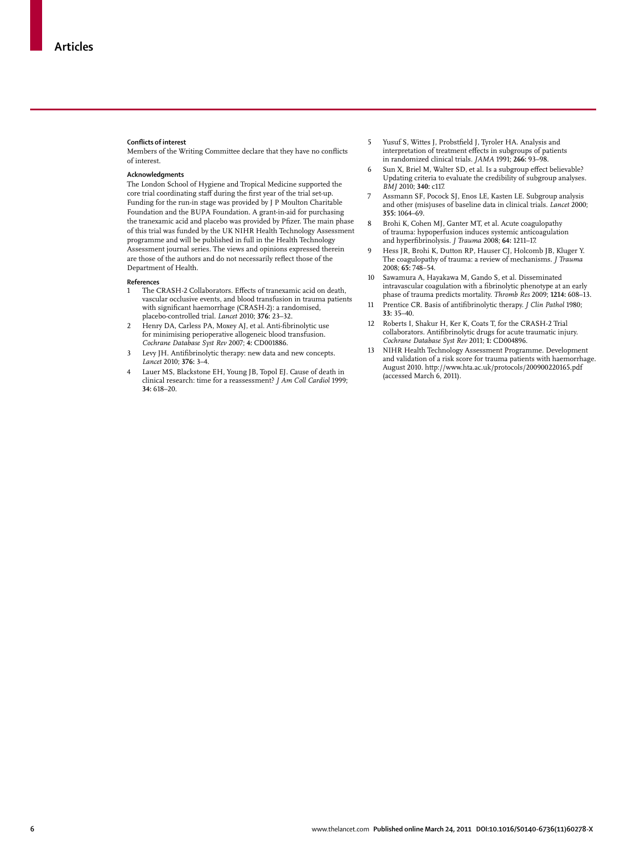#### **Confl icts of interest**

Members of the Writing Committee declare that they have no conflicts of interest.

#### **Acknowledgments**

The London School of Hygiene and Tropical Medicine supported the core trial coordinating staff during the first year of the trial set-up. Funding for the run-in stage was provided by J P Moulton Charitable Foundation and the BUPA Foundation. A grant-in-aid for purchasing the tranexamic acid and placebo was provided by Pfizer. The main phase of this trial was funded by the UK NIHR Health Technology Assessment programme and will be published in full in the Health Technology Assessment journal series. The views and opinions expressed therein are those of the authors and do not necessarily reflect those of the Department of Health.

## **References**<br>1 The C

- The CRASH-2 Collaborators. Effects of tranexamic acid on death, vascular occlusive events, and blood transfusion in trauma patients with significant haemorrhage (CRASH-2): a randomised, placebo-controlled trial. *Lancet* 2010; **376:** 23–32.
- 2 Henry DA, Carless PA, Moxey AJ, et al. Anti-fibrinolytic use for minimising perioperative allogeneic blood transfusion. *Cochrane Database Syst Rev* 2007; **4:** CD001886.
- 3 Levy JH. Antifibrinolytic therapy: new data and new concepts. *Lancet* 2010; **376:** 3–4.
- Lauer MS, Blackstone EH, Young JB, Topol EJ. Cause of death in clinical research: time for a reassessment? *J Am Coll Cardiol* 1999; **34:** 618–20.
- 5 Yusuf S, Wittes J, Probstfield J, Tyroler HA. Analysis and interpretation of treatment effects in subgroups of patients in randomized clinical trials. *JAMA* 1991; **266:** 93–98.
- 6 Sun X, Briel M, Walter SD, et al. Is a subgroup effect believable? Updating criteria to evaluate the credibility of subgroup analyses. *BMJ* 2010; **340:** c117.
- 7 Assmann SF, Pocock SJ, Enos LE, Kasten LE. Subgroup analysis and other (mis)uses of baseline data in clinical trials. *Lancet* 2000; **355:** 1064–69.
- 8 Brohi K, Cohen MJ, Ganter MT, et al. Acute coagulopathy of trauma: hypoperfusion induces systemic anticoagulation and hyperfibrinolysis. *J Trauma* 2008; 64: 1211-17.
- 9 Hess JR, Brohi K, Dutton RP, Hauser CJ, Holcomb JB, Kluger Y. The coagulopathy of trauma: a review of mechanisms. *J Trauma*  2008; **65:** 748–54.
- 10 Sawamura A, Hayakawa M, Gando S, et al. Disseminated intravascular coagulation with a fibrinolytic phenotype at an early phase of trauma predicts mortality. *Thromb Res* 2009; **1214:** 608–13.
- 11 Prentice CR. Basis of antifibrinolytic therapy. *J Clin Pathol* 1980; **33:** 35–40.
- 12 Roberts I, Shakur H, Ker K, Coats T, for the CRASH-2 Trial collaborators. Antifibrinolytic drugs for acute traumatic injury. *Cochrane Database Syst Rev* 2011; **1:** CD004896.
- 13 NIHR Health Technology Assessment Programme. Development and validation of a risk score for trauma patients with haemorrhage. August 2010. http://www.hta.ac.uk/protocols/ 200900220165.pdf (accessed March 6, 2011).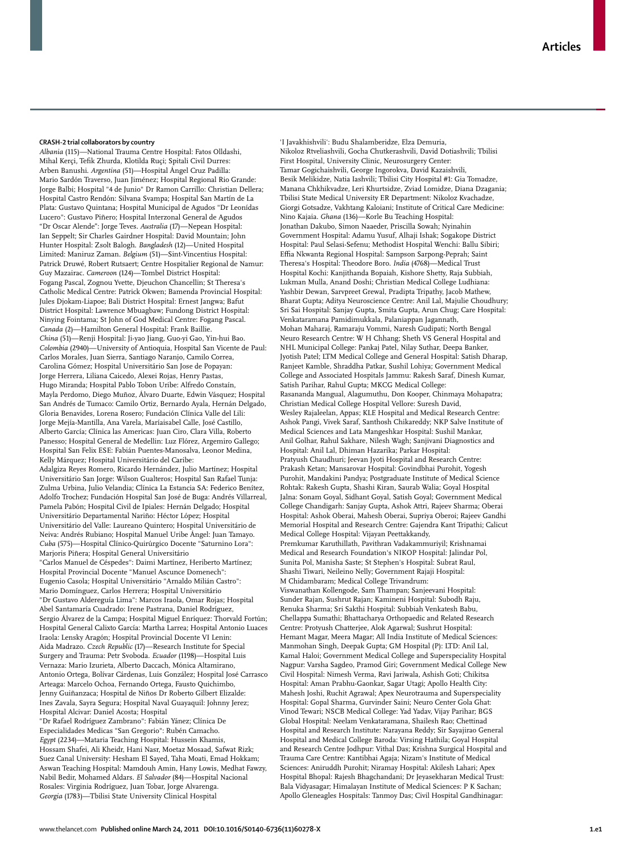#### **CRASH-2 trial collaborators by country**

*Albania* (115)*—*National Trauma Centre Hospital: Fatos Olldashi, Mihal Kerçi, Tefik Zhurda, Klotilda Ruçi; Spitali Civil Durres: Arben Banushi. *Argentina* (51)—Hospital Ángel Cruz Padilla: Mario Sardón Traverso, Juan Jiménez; Hospital Regional Rio Grande: Jorge Balbi; Hospital "4 de Junio" Dr Ramon Carrillo: Christian Dellera; Hospital Castro Rendón: Silvana Svampa; Hospital San Martín de La Plata: Gustavo Quintana; Hospital Municipal de Agudos "Dr Leonídas Lucero": Gustavo Piñero; Hospital Interzonal General de Agudos "Dr Oscar Alende": Jorge Teves. *Australia* (17)—Nepean Hospital: Ian Seppelt; Sir Charles Gairdner Hospital: David Mountain; John Hunter Hospital: Zsolt Balogh. *Bangladesh* (12)—United Hospital Limited: Maniruz Zaman. *Belgium* (51)—Sint-Vincentius Hospital: Patrick Druwé, Robert Rutsaert; Centre Hospitalier Regional de Namur: Guy Mazairac. *Cameroon* (124)—Tombel District Hospital: Fogang Pascal, Zognou Yvette, Djeuchon Chancellin; St Theresa's Catholic Medical Centre: Patrick Okwen; Bamenda Provincial Hospital: Jules Djokam-Liapoe; Bali District Hospital: Ernest Jangwa; Bafut District Hospital: Lawrence Mbuagbaw; Fundong District Hospital: Ninying Fointama; St John of God Medical Centre: Fogang Pascal. *Canada* (2)—Hamilton General Hospital: Frank Baillie. *China* (51)—Renji Hospital: Ji-yao Jiang, Guo-yi Gao, Yin-hui Bao. *Colombia* (2940)—University of Antioquia, Hospital San Vicente de Paul: Carlos Morales, Juan Sierra, Santiago Naranjo, Camilo Correa, Carolina Gómez; Hospital Universitário San Jose de Popayan: Jorge Herrera, Liliana Caicedo, Alexei Rojas, Henry Pastas, Hugo Miranda; Hospital Pablo Tobon Uribe: Alfredo Constaín, Mayla Perdomo, Diego Muñoz, Álvaro Duarte, Edwin Vásquez; Hospital San Andrés de Tumaco: Camilo Ortiz, Bernardo Ayala, Hernán Delgado, Gloria Benavides, Lorena Rosero; Fundación Clínica Valle del Lili: Jorge Mejía-Mantilla, Ana Varela, Maríaisabel Calle, José Castillo, Alberto García; Clínica las Americas: Juan Ciro, Clara Villa, Roberto Panesso; Hospital General de Medellin: Luz Flórez, Argemiro Gallego; Hospital San Felix ESE: Fabián Puentes-Manosalva, Leonor Medina, Kelly Márquez; Hospital Universitário del Caribe: Adalgiza Reyes Romero, Ricardo Hernández, Julio Martínez; Hospital Universitário San Jorge: Wilson Gualteros; Hospital San Rafael Tunja: Zulma Urbina, Julio Velandia; Clínica La Estancia SA: Federico Benítez, Adolfo Trochez; Fundación Hospital San José de Buga: Andrés Villarreal, Pamela Pabón; Hospital Civil de Ipiales: Hernán Delgado; Hospital Universitário Departamental Nariño: Héctor López; Hospital Universitário del Valle: Laureano Quintero; Hospital Universitário de Neiva: Andrés Rubiano; Hospital Manuel Uribe Ángel: Juan Tamayo. *Cuba* (575)—Hospital Clínico-Quirúrgico Docente "Saturnino Lora": Marjoris Piñera; Hospital General Universitário "Carlos Manuel de Céspedes": Daimi Martínez, Heriberto Martínez; Hospital Provincial Docente "Manuel Ascunce Domenech": Eugenio Casola; Hospital Universitário "Arnaldo Milián Castro": Mario Domínguez, Carlos Herrera; Hospital Universitário "Dr Gustavo Aldereguía Lima": Marcos Iraola, Omar Rojas; Hospital Abel Santamaría Cuadrado: Irene Pastrana, Daniel Rodríguez, Sergio Álvarez de la Campa; Hospital Miguel Enríquez: Thorvald Fortún; Hospital General Calixto García: Martha Larrea; Hospital Antonio Luaces Iraola: Lensky Aragón; Hospital Provincial Docente VI Lenin: Aida Madrazo. *Czech Republic* (17)—Research Institute for Special Surgery and Trauma: Petr Svoboda. *Ecuador* (1198)—Hospital Luis Vernaza: Mario Izurieta, Alberto Daccach, Mónica Altamirano, Antonio Ortega, Bolívar Cárdenas, Luis González; Hospital José Carrasco Arteaga: Marcelo Ochoa, Fernando Ortega, Fausto Quichimbo, Jenny Guiñanzaca; Hospital de Niños Dr Roberto Gilbert Elizalde: Ines Zavala, Sayra Segura; Hospital Naval Guayaquil: Johnny Jerez; Hospital Alcivar: Daniel Acosta; Hospital "Dr Rafael Rodríguez Zambrano": Fabián Yánez; Clínica De Especialidades Medicas "San Gregorio": Rubén Camacho.

*Egypt* (2234)—Mataria Teaching Hospital: Hussein Khamis, Hossam Shafei, Ali Kheidr, Hani Nasr, Moetaz Mosaad, Safwat Rizk; Suez Canal University: Hesham El Sayed, Taha Moati, Emad Hokkam; Aswan Teaching Hospital: Mamdouh Amin, Hany Lowis, Medhat Fawzy, Nabil Bedir, Mohamed Aldars. *El Salvador* (84)—Hospital Nacional Rosales: Virginia Rodríguez, Juan Tobar, Jorge Alvarenga. *Georgia* (1783)—Tbilisi State University Clinical Hospital

'I Javakhishvili': Budu Shalamberidze, Elza Demuria, Nikoloz Rtveliashvili, Gocha Chutkerashvili, David Dotiashvili; Tbilisi First Hospital, University Clinic, Neurosurgery Center: Tamar Gogichaishvili, George Ingorokva, David Kazaishvili, Besik Melikidze, Natia Iashvili; Tbilisi City Hospital #1: Gia Tomadze, Manana Chkhikvadze, Leri Khurtsidze, Zviad Lomidze, Diana Dzagania; Tbilisi State Medical University ER Department: Nikoloz Kvachadze, Giorgi Gotsadze, Vakhtang Kaloiani; Institute of Critical Care Medicine: Nino Kajaia. *Ghana* (136)—Korle Bu Teaching Hospital: Jonathan Dakubo, Simon Naaeder, Priscilla Sowah; Nyinahin Government Hospital: Adamu Yusuf, Alhaji Ishak; Sogakope District Hospital: Paul Selasi-Sefenu; Methodist Hospital Wenchi: Ballu Sibiri; Effia Nkwanta Regional Hospital: Sampson Sarpong-Peprah; Saint Theresa's Hospital: Theodore Boro. *India* (4768)—Medical Trust Hospital Kochi: Kanjithanda Bopaiah, Kishore Shetty, Raja Subbiah, Lukman Mulla, Anand Doshi; Christian Medical College Ludhiana: Yashbir Dewan, Sarvpreet Grewal, Pradipta Tripathy, Jacob Mathew, Bharat Gupta; Aditya Neuroscience Centre: Anil Lal, Majulie Choudhury; Sri Sai Hospital: Sanjay Gupta, Smita Gupta, Arun Chug; Care Hospital: Venkataramana Pamidimukkala, Palaniappan Jagannath, Mohan Maharaj, Ramaraju Vommi, Naresh Gudipati; North Bengal Neuro Research Centre: W H Chhang; Sheth VS General Hospital and NHL Municipal College: Pankaj Patel, Nilay Suthar, Deepa Banker, Jyotish Patel; LTM Medical College and General Hospital: Satish Dharap, Ranjeet Kamble, Shraddha Patkar, Sushil Lohiya; Government Medical College and Associated Hospitals Jammu: Rakesh Saraf, Dinesh Kumar, Satish Parihar, Rahul Gupta; MKCG Medical College: Rasananda Mangual, Alagumuthu, Don Kooper, Chinmaya Mohapatra; Christian Medical College Hospital Vellore: Suresh David, Wesley Rajaleelan, Appas; KLE Hospital and Medical Research Centre: Ashok Pangi, Vivek Saraf, Santhosh Chikareddy; NKP Salve Institute of Medical Sciences and Lata Mangeshkar Hospital: Sushil Mankar, Anil Golhar, Rahul Sakhare, Nilesh Wagh; Sanjivani Diagnostics and Hospital: Anil Lal, Dhiman Hazarika; Parkar Hospital: Pratyush Chaudhuri; Jeevan Jyoti Hospital and Research Centre: Prakash Ketan; Mansarovar Hospital: Govindbhai Purohit, Yogesh Purohit, Mandakini Pandya; Postgraduate Institute of Medical Science Rohtak: Rakesh Gupta, Shashi Kiran, Saurab Walia; Goyal Hospital Jalna: Sonam Goyal, Sidhant Goyal, Satish Goyal; Government Medical College Chandigarh: Sanjay Gupta, Ashok Attri, Rajeev Sharma; Oberai Hospital: Ashok Oberai, Mahesh Oberai, Supriya Oberoi; Rajeev Gandhi Memorial Hospital and Research Centre: Gajendra Kant Tripathi; Calicut Medical College Hospital: Vijayan Peettakkandy, Premkumar Karuthillath, Pavithran Vadakammuriyil; Krishnamai Medical and Research Foundation's NIKOP Hospital: Jalindar Pol, Sunita Pol, Manisha Saste; St Stephen's Hospital: Subrat Raul, Shashi Tiwari, Neileino Nelly; Government Rajaji Hospital: M Chidambaram; Medical College Trivandrum: Viswanathan Kollengode, Sam Thampan; Sanjeevani Hospital: Sunder Rajan, Sushrut Rajan; Kamineni Hospital: Subodh Raju, Renuka Sharma; Sri Sakthi Hospital: Subbiah Venkatesh Babu, Chellappa Sumathi; Bhattacharya Orthopaedic and Related Research Centre: Protyush Chatterjee, Alok Agarwal; Sushrut Hospital: Hemant Magar, Meera Magar; All India Institute of Medical Sciences: Manmohan Singh, Deepak Gupta; GM Hospital (P): LTD: Anil Lal, Kamal Haloi; Government Medical College and Superspeciality Hospital Nagpur: Varsha Sagdeo, Pramod Giri; Government Medical College New Civil Hospital: Nimesh Verma, Ravi Jariwala, Ashish Goti; Chikitsa Hospital: Aman Prabhu-Gaonkar, Sagar Utagi; Apollo Health City: Mahesh Joshi, Ruchit Agrawal; Apex Neurotrauma and Superspeciality Hospital: Gopal Sharma, Gurvinder Saini; Neuro Center Gola Ghat: Vinod Tewari; NSCB Medical College: Yad Yadav, Vijay Parihar; BGS Global Hospital: Neelam Venkataramana, Shailesh Rao; Chettinad Hospital and Research Institute: Narayana Reddy; Sir Sayajirao General Hospital and Medical College Baroda: Virsing Hathila; Goyal Hospital and Research Centre Jodhpur: Vithal Das; Krishna Surgical Hospital and Trauma Care Centre: Kantibhai Agaja; Nizam's Institute of Medical Sciences: Aniruddh Purohit; Niramay Hospital: Akilesh Lahari; Apex Hospital Bhopal: Rajesh Bhagchandani; Dr Jeyasekharan Medical Trust: Bala Vidyasagar; Himalayan Institute of Medical Sciences: P K Sachan; Apollo Gleneagles Hospitals: Tanmoy Das; Civil Hospital Gandhinagar: